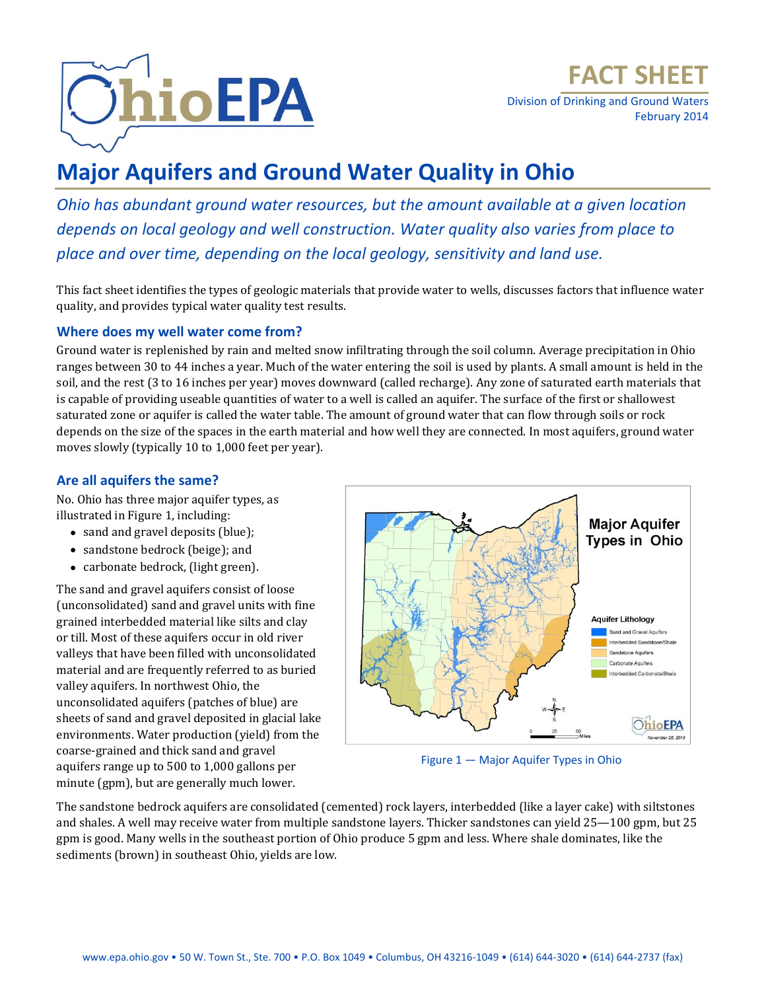

Division of Drinking and Ground Waters February 2014

# **Major Aquifers and Ground Water Quality in Ohio**

*Ohio has abundant ground water resources, but the amount available at a given location depends on local geology and well construction. Water quality also varies from place to place and over time, depending on the local geology, sensitivity and land use.*

This fact sheet identifies the types of geologic materials that provide water to wells, discusses factors that influence water quality, and provides typical water quality test results.

# **Where does my well water come from?**

Ground water is replenished by rain and melted snow infiltrating through the soil column. Average precipitation in Ohio ranges between 30 to 44 inches a year. Much of the water entering the soil is used by plants. A small amount is held in the soil, and the rest (3 to 16 inches per year) moves downward (called recharge). Any zone of saturated earth materials that is capable of providing useable quantities of water to a well is called an aquifer. The surface of the first or shallowest saturated zone or aquifer is called the water table. The amount of ground water that can flow through soils or rock depends on the size of the spaces in the earth material and how well they are connected. In most aquifers, ground water moves slowly (typically 10 to 1,000 feet per year).

# **Are all aquifers the same?**

No. Ohio has three major aquifer types, as illustrated in Figure 1, including:

- sand and gravel deposits (blue);
- sandstone bedrock (beige); and
- carbonate bedrock, (light green).

The sand and gravel aquifers consist of loose (unconsolidated) sand and gravel units with fine grained interbedded material like silts and clay or till. Most of these aquifers occur in old river valleys that have been filled with unconsolidated material and are frequently referred to as buried valley aquifers. In northwest Ohio, the unconsolidated aquifers (patches of blue) are sheets of sand and gravel deposited in glacial lake environments. Water production (yield) from the coarse-grained and thick sand and gravel aquifers range up to 500 to 1,000 gallons per minute (gpm), but are generally much lower.



Figure 1 — Major Aquifer Types in Ohio

The sandstone bedrock aquifers are consolidated (cemented) rock layers, interbedded (like a layer cake) with siltstones and shales. A well may receive water from multiple sandstone layers. Thicker sandstones can yield 25—100 gpm, but 25 gpm is good. Many wells in the southeast portion of Ohio produce 5 gpm and less. Where shale dominates, like the sediments (brown) in southeast Ohio, yields are low.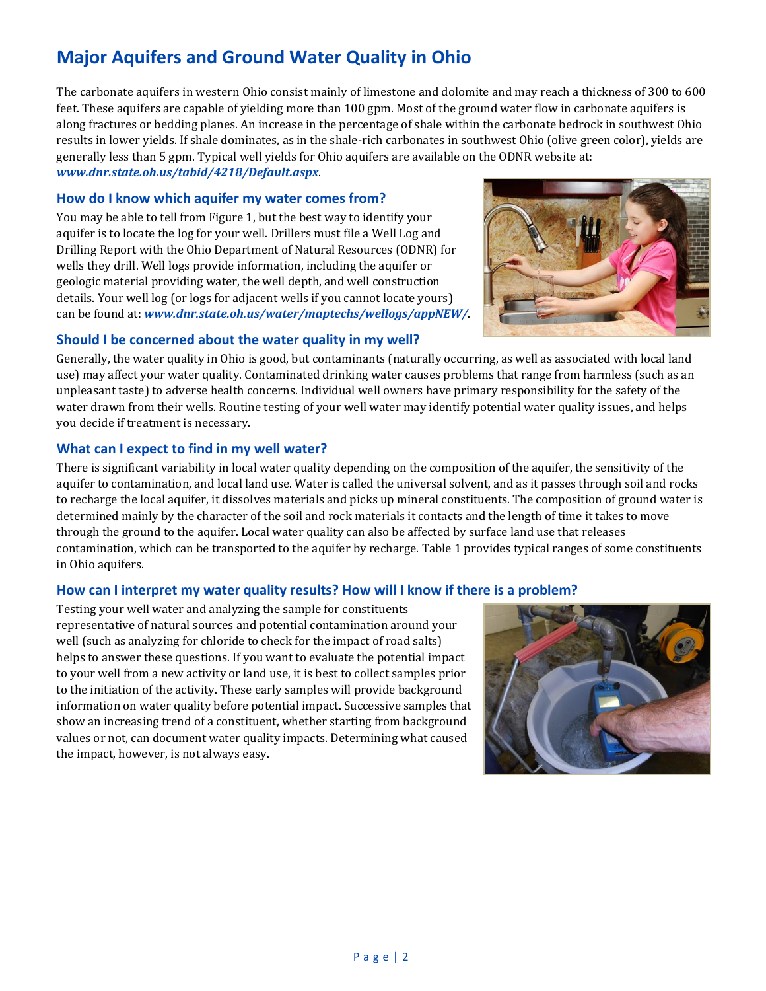The carbonate aquifers in western Ohio consist mainly of limestone and dolomite and may reach a thickness of 300 to 600 feet. These aquifers are capable of yielding more than 100 gpm. Most of the ground water flow in carbonate aquifers is along fractures or bedding planes. An increase in the percentage of shale within the carbonate bedrock in southwest Ohio results in lower yields. If shale dominates, as in the shale-rich carbonates in southwest Ohio (olive green color), yields are generally less than 5 gpm. Typical well yields for Ohio aquifers are available on the ODNR website at: *[www.dnr.state.oh.us/tabid/4218/Default.aspx](http://www.dnr.state.oh.us/tabid/4218/Default.aspx)*.

#### **How do I know which aquifer my water comes from?**

You may be able to tell from Figure 1, but the best way to identify your aquifer is to locate the log for your well. Drillers must file a Well Log and Drilling Report with the Ohio Department of Natural Resources (ODNR) for wells they drill. Well logs provide information, including the aquifer or geologic material providing water, the well depth, and well construction details. Your well log (or logs for adjacent wells if you cannot locate yours) can be found at: *[www.dnr.state.oh.us/water/maptechs/wellogs/appNEW/](http://www.dnr.state.oh.us/water/maptechs/wellogs/appNEW/)*.

### **Should I be concerned about the water quality in my well?**

Generally, the water quality in Ohio is good, but contaminants (naturally occurring, as well as associated with local land use) may affect your water quality. Contaminated drinking water causes problems that range from harmless (such as an unpleasant taste) to adverse health concerns. Individual well owners have primary responsibility for the safety of the water drawn from their wells. Routine testing of your well water may identify potential water quality issues, and helps you decide if treatment is necessary.

### **What can I expect to find in my well water?**

There is significant variability in local water quality depending on the composition of the aquifer, the sensitivity of the aquifer to contamination, and local land use. Water is called the universal solvent, and as it passes through soil and rocks to recharge the local aquifer, it dissolves materials and picks up mineral constituents. The composition of ground water is determined mainly by the character of the soil and rock materials it contacts and the length of time it takes to move through the ground to the aquifer. Local water quality can also be affected by surface land use that releases contamination, which can be transported to the aquifer by recharge. Table 1 provides typical ranges of some constituents in Ohio aquifers.

#### **How can I interpret my water quality results? How will I know if there is a problem?**

Testing your well water and analyzing the sample for constituents representative of natural sources and potential contamination around your well (such as analyzing for chloride to check for the impact of road salts) helps to answer these questions. If you want to evaluate the potential impact to your well from a new activity or land use, it is best to collect samples prior to the initiation of the activity. These early samples will provide background information on water quality before potential impact. Successive samples that show an increasing trend of a constituent, whether starting from background values or not, can document water quality impacts. Determining what caused the impact, however, is not always easy.



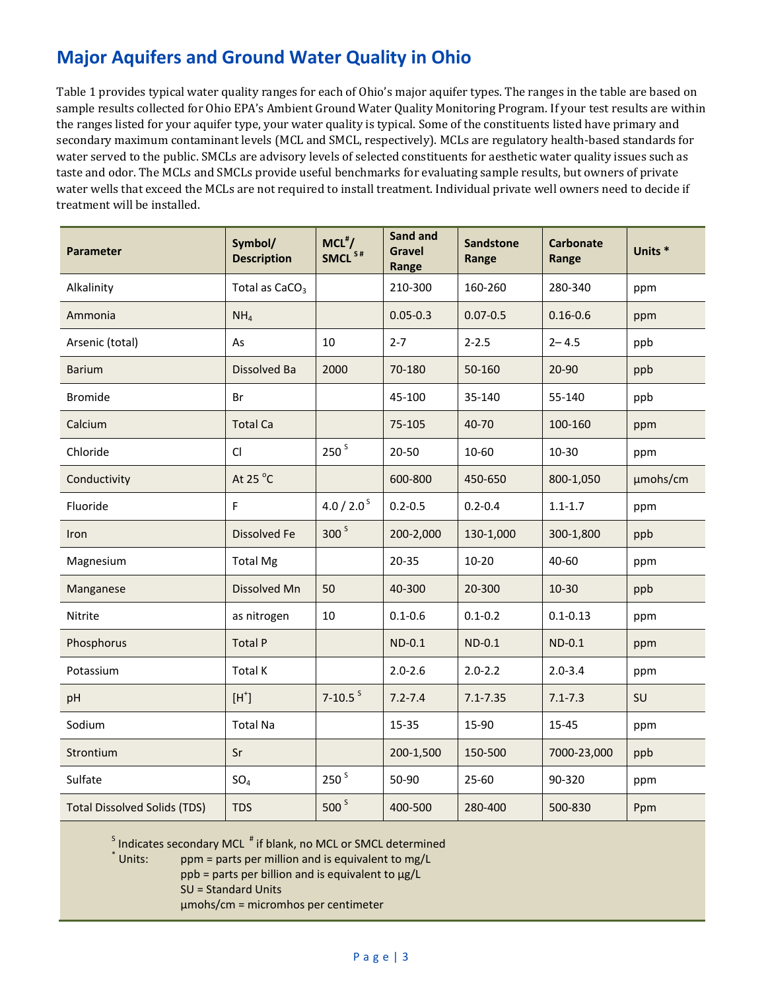Table 1 provides typical water quality ranges for each of Ohio's major aquifer types. The ranges in the table are based on sample results collected for Ohio EPA's Ambient Ground Water Quality Monitoring Program. If your test results are within the ranges listed for your aquifer type, your water quality is typical. Some of the constituents listed have primary and secondary maximum contaminant levels (MCL and SMCL, respectively). MCLs are regulatory health-based standards for water served to the public. SMCLs are advisory levels of selected constituents for aesthetic water quality issues such as taste and odor. The MCLs and SMCLs provide useful benchmarks for evaluating sample results, but owners of private water wells that exceed the MCLs are not required to install treatment. Individual private well owners need to decide if treatment will be installed.

| <b>Parameter</b>                    | Symbol/<br><b>Description</b> | $MCL$ #/<br>SMCL <sup>S#</sup> | <b>Sand and</b><br><b>Gravel</b><br>Range | <b>Sandstone</b><br>Range | <b>Carbonate</b><br>Range | Units <sup>*</sup> |
|-------------------------------------|-------------------------------|--------------------------------|-------------------------------------------|---------------------------|---------------------------|--------------------|
| Alkalinity                          | Total as $CaCO3$              |                                | 210-300                                   | 160-260                   | 280-340                   | ppm                |
| Ammonia                             | NH <sub>4</sub>               |                                | $0.05 - 0.3$                              | $0.07 - 0.5$              | $0.16 - 0.6$              | ppm                |
| Arsenic (total)                     | As                            | 10                             | $2 - 7$                                   | $2 - 2.5$                 | $2 - 4.5$                 | ppb                |
| <b>Barium</b>                       | Dissolved Ba                  | 2000                           | 70-180                                    | 50-160                    | 20-90                     | ppb                |
| <b>Bromide</b>                      | Br                            |                                | 45-100                                    | 35-140                    | 55-140                    | ppb                |
| Calcium                             | <b>Total Ca</b>               |                                | 75-105                                    | 40-70                     | 100-160                   | ppm                |
| Chloride                            | CI                            | 250 <sup>5</sup>               | 20-50                                     | 10-60                     | $10 - 30$                 | ppm                |
| Conductivity                        | At 25 $^{\circ}$ C            |                                | 600-800                                   | 450-650                   | 800-1,050                 | µmohs/cm           |
| Fluoride                            | $\mathsf F$                   | 4.0 / 2.0 $S$                  | $0.2 - 0.5$                               | $0.2 - 0.4$               | $1.1 - 1.7$               | ppm                |
| Iron                                | <b>Dissolved Fe</b>           | 300 <sup>5</sup>               | 200-2,000                                 | 130-1,000                 | 300-1,800                 | ppb                |
| Magnesium                           | <b>Total Mg</b>               |                                | $20 - 35$                                 | $10 - 20$                 | 40-60                     | ppm                |
| Manganese                           | Dissolved Mn                  | 50                             | 40-300                                    | 20-300                    | $10-30$                   | ppb                |
| Nitrite                             | as nitrogen                   | 10                             | $0.1 - 0.6$                               | $0.1 - 0.2$               | $0.1 - 0.13$              | ppm                |
| Phosphorus                          | <b>Total P</b>                |                                | $ND-0.1$                                  | $ND-0.1$                  | $ND-0.1$                  | ppm                |
| Potassium                           | Total K                       |                                | $2.0 - 2.6$                               | $2.0 - 2.2$               | $2.0 - 3.4$               | ppm                |
| pH                                  | $[H^+]$                       | $7 - 10.5$ <sup>S</sup>        | $7.2 - 7.4$                               | $7.1 - 7.35$              | $7.1 - 7.3$               | SU                 |
| Sodium                              | <b>Total Na</b>               |                                | 15-35                                     | 15-90                     | 15-45                     | ppm                |
| Strontium                           | Sr                            |                                | 200-1,500                                 | 150-500                   | 7000-23,000               | ppb                |
| Sulfate                             | SO <sub>4</sub>               | 250 <sup>5</sup>               | 50-90                                     | 25-60                     | 90-320                    | ppm                |
| <b>Total Dissolved Solids (TDS)</b> | <b>TDS</b>                    | 500 <sup>s</sup>               | 400-500                                   | 280-400                   | 500-830                   | Ppm                |

 $^{\text{S}}$  Indicates secondary MCL  $^{\text{#}}$  if blank, no MCL or SMCL determined

\* Units:  $ppm$  = parts per million and is equivalent to mg/L

 $ppb =$  parts per billion and is equivalent to  $\mu$ g/L

SU = Standard Units

µmohs/cm = micromhos per centimeter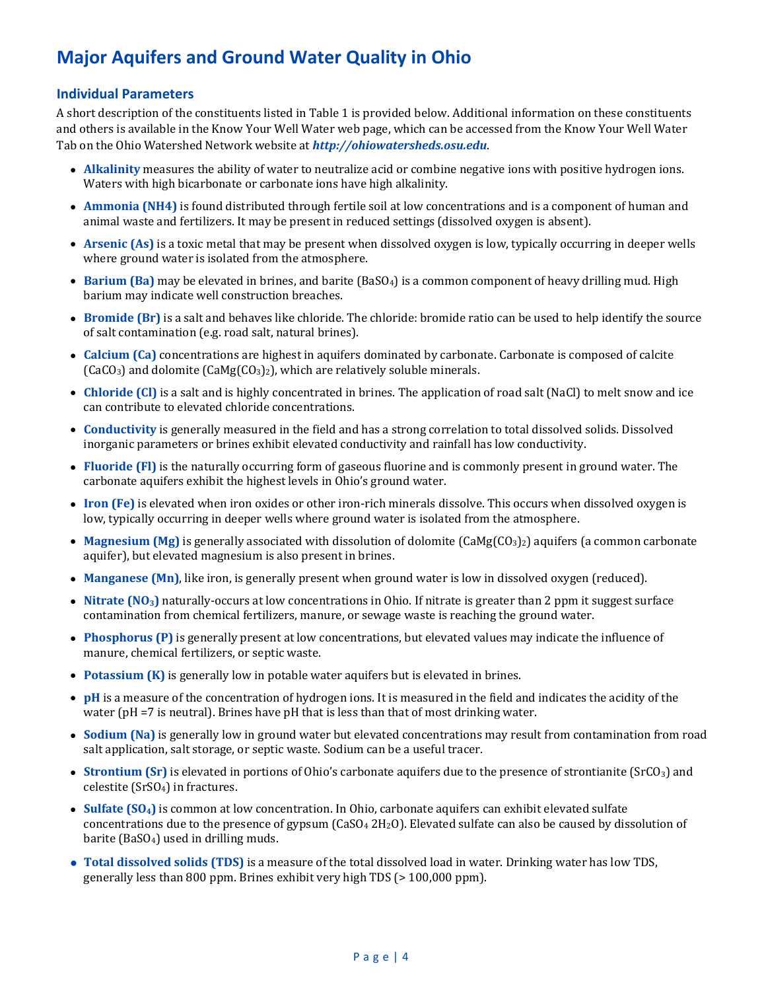### **Individual Parameters**

A short description of the constituents listed in Table 1 is provided below. Additional information on these constituents and others is available in the Know Your Well Water web page, which can be accessed from the Know Your Well Water Tab on the Ohio Watershed Network website at *[http://ohiowatersheds.osu.edu](http://ohiowatersheds.osu.edu/)*.

- **Alkalinity** measures the ability of water to neutralize acid or combine negative ions with positive hydrogen ions. Waters with high bicarbonate or carbonate ions have high alkalinity.
- **Ammonia (NH4)** is found distributed through fertile soil at low concentrations and is a component of human and animal waste and fertilizers. It may be present in reduced settings (dissolved oxygen is absent).
- **Arsenic (As)** is a toxic metal that may be present when dissolved oxygen is low, typically occurring in deeper wells where ground water is isolated from the atmosphere.
- **Barium (Ba)** may be elevated in brines, and barite (BaSO<sub>4</sub>) is a common component of heavy drilling mud. High barium may indicate well construction breaches.
- **Bromide (Br)** is a salt and behaves like chloride. The chloride: bromide ratio can be used to help identify the source of salt contamination (e.g. road salt, natural brines).
- **Calcium (Ca)** concentrations are highest in aquifers dominated by carbonate. Carbonate is composed of calcite  $(CaCO<sub>3</sub>)$  and dolomite  $(CaMg(CO<sub>3</sub>)<sub>2</sub>)$ , which are relatively soluble minerals.
- **Chloride (Cl)** is a salt and is highly concentrated in brines. The application of road salt (NaCl) to melt snow and ice can contribute to elevated chloride concentrations.
- **Conductivity** is generally measured in the field and has a strong correlation to total dissolved solids. Dissolved inorganic parameters or brines exhibit elevated conductivity and rainfall has low conductivity.
- **Fluoride (Fl)** is the naturally occurring form of gaseous fluorine and is commonly present in ground water. The carbonate aquifers exhibit the highest levels in Ohio's ground water.
- **Iron (Fe)** is elevated when iron oxides or other iron-rich minerals dissolve. This occurs when dissolved oxygen is low, typically occurring in deeper wells where ground water is isolated from the atmosphere.
- **Magnesium (Mg)** is generally associated with dissolution of dolomite (CaMg(CO<sub>3</sub>)<sub>2</sub>) aquifers (a common carbonate aquifer), but elevated magnesium is also present in brines.
- **Manganese (Mn)**, like iron, is generally present when ground water is low in dissolved oxygen (reduced).
- **Nitrate (NO3)** naturally-occurs at low concentrations in Ohio. If nitrate is greater than 2 ppm it suggest surface contamination from chemical fertilizers, manure, or sewage waste is reaching the ground water.
- **Phosphorus (P)** is generally present at low concentrations, but elevated values may indicate the influence of manure, chemical fertilizers, or septic waste.
- **Potassium (K)** is generally low in potable water aquifers but is elevated in brines.
- **pH** is a measure of the concentration of hydrogen ions. It is measured in the field and indicates the acidity of the water (pH =7 is neutral). Brines have pH that is less than that of most drinking water.
- **Sodium (Na)** is generally low in ground water but elevated concentrations may result from contamination from road salt application, salt storage, or septic waste. Sodium can be a useful tracer.
- **Strontium (Sr)** is elevated in portions of Ohio's carbonate aquifers due to the presence of strontianite (SrCO<sub>3</sub>) and celestite (SrSO4) in fractures.
- **Sulfate (SO4)** is common at low concentration. In Ohio, carbonate aquifers can exhibit elevated sulfate concentrations due to the presence of gypsum  $(CaSO<sub>4</sub> 2H<sub>2</sub>O)$ . Elevated sulfate can also be caused by dissolution of barite ( $BaSO<sub>4</sub>$ ) used in drilling muds.
- **Total dissolved solids (TDS)** is a measure of the total dissolved load in water. Drinking water has low TDS, generally less than 800 ppm. Brines exhibit very high TDS (> 100,000 ppm).